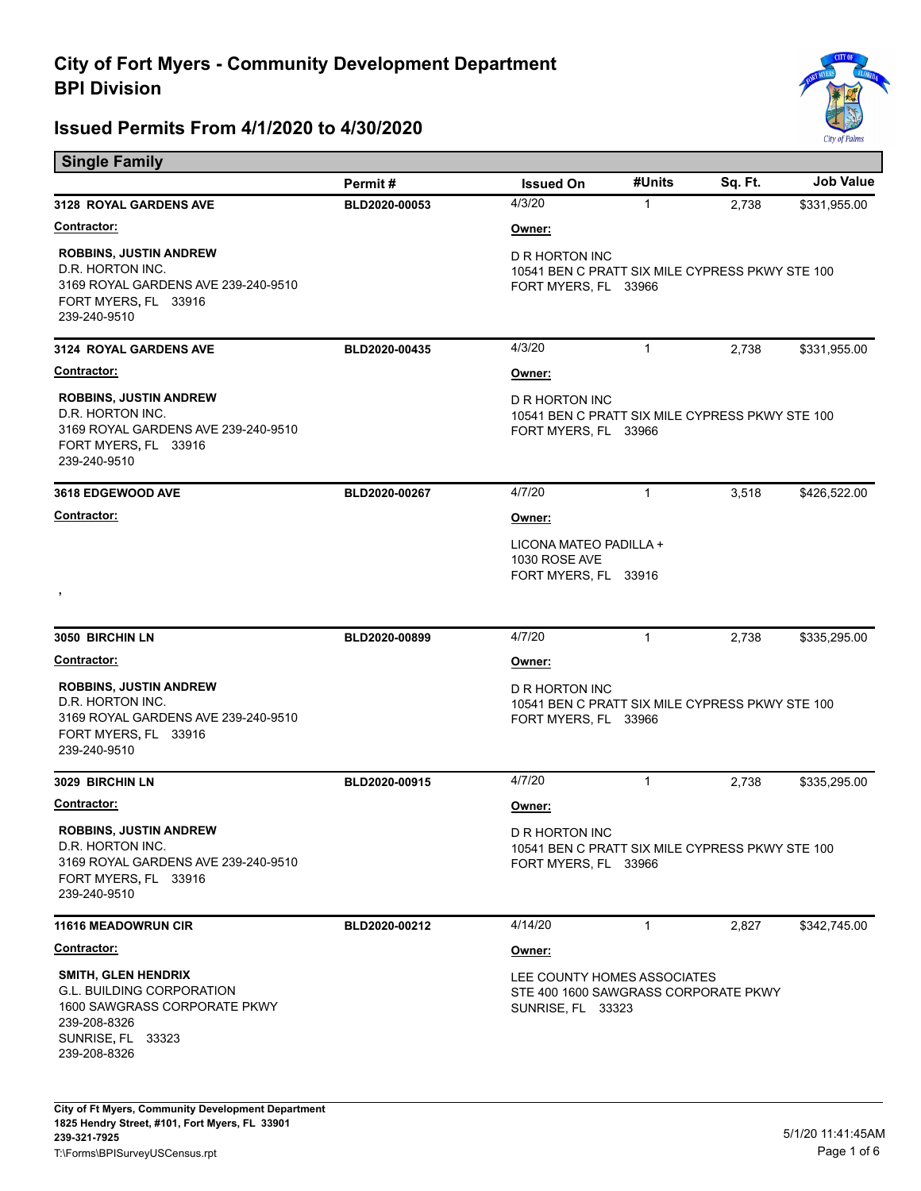Е



| <b>Single Family</b>                                                                                                                                |               |                                                                                                  |              |         |                  |  |
|-----------------------------------------------------------------------------------------------------------------------------------------------------|---------------|--------------------------------------------------------------------------------------------------|--------------|---------|------------------|--|
|                                                                                                                                                     | Permit#       | <b>Issued On</b>                                                                                 | #Units       | Sq. Ft. | <b>Job Value</b> |  |
| 3128 ROYAL GARDENS AVE                                                                                                                              | BLD2020-00053 | 4/3/20                                                                                           | 1            | 2,738   | \$331,955.00     |  |
| <u>Contractor:</u>                                                                                                                                  |               | Owner:                                                                                           |              |         |                  |  |
| <b>ROBBINS, JUSTIN ANDREW</b><br>D.R. HORTON INC.<br>3169 ROYAL GARDENS AVE 239-240-9510<br>FORT MYERS, FL 33916<br>239-240-9510                    |               | D R HORTON INC<br>10541 BEN C PRATT SIX MILE CYPRESS PKWY STE 100<br>FORT MYERS, FL 33966        |              |         |                  |  |
| <b>3124 ROYAL GARDENS AVE</b>                                                                                                                       | BLD2020-00435 | 4/3/20                                                                                           | 1            | 2.738   | \$331,955.00     |  |
| <b>Contractor:</b>                                                                                                                                  |               | Owner:                                                                                           |              |         |                  |  |
| <b>ROBBINS, JUSTIN ANDREW</b><br>D.R. HORTON INC.<br>3169 ROYAL GARDENS AVE 239-240-9510<br>FORT MYERS, FL 33916<br>239-240-9510                    |               | D R HORTON INC<br>10541 BEN C PRATT SIX MILE CYPRESS PKWY STE 100<br>FORT MYERS, FL 33966        |              |         |                  |  |
| <b>3618 EDGEWOOD AVE</b>                                                                                                                            | BLD2020-00267 | 4/7/20                                                                                           | 1            | 3,518   | \$426,522.00     |  |
| <b>Contractor:</b>                                                                                                                                  |               | Owner:                                                                                           |              |         |                  |  |
| ,                                                                                                                                                   |               | LICONA MATEO PADILLA +<br>1030 ROSE AVE<br>FORT MYERS, FL 33916                                  |              |         |                  |  |
| 3050 BIRCHIN LN                                                                                                                                     | BLD2020-00899 | 4/7/20                                                                                           | 1            | 2,738   | \$335,295.00     |  |
| <u>Contractor:</u>                                                                                                                                  |               | Owner:                                                                                           |              |         |                  |  |
| <b>ROBBINS, JUSTIN ANDREW</b><br>D.R. HORTON INC.<br>3169 ROYAL GARDENS AVE 239-240-9510<br>FORT MYERS, FL 33916<br>239-240-9510                    |               | D R HORTON INC<br>10541 BEN C PRATT SIX MILE CYPRESS PKWY STE 100<br>FORT MYERS, FL 33966        |              |         |                  |  |
| 3029 BIRCHIN LN                                                                                                                                     | BLD2020-00915 | 4/7/20                                                                                           | 1            | 2,738   | \$335,295.00     |  |
| <u>Contractor:</u>                                                                                                                                  |               | Owner:                                                                                           |              |         |                  |  |
| <b>ROBBINS, JUSTIN ANDREW</b><br>D.R. HORTON INC.<br>3169 ROYAL GARDENS AVE 239-240-9510<br>FORT MYERS, FL 33916<br>239-240-9510                    |               | <b>D R HORTON INC</b><br>10541 BEN C PRATT SIX MILE CYPRESS PKWY STE 100<br>FORT MYERS, FL 33966 |              |         |                  |  |
| <b>11616 MEADOWRUN CIR</b>                                                                                                                          | BLD2020-00212 | 4/14/20                                                                                          | $\mathbf{1}$ | 2,827   | \$342,745.00     |  |
| Contractor:                                                                                                                                         |               | Owner:                                                                                           |              |         |                  |  |
| <b>SMITH, GLEN HENDRIX</b><br><b>G.L. BUILDING CORPORATION</b><br>1600 SAWGRASS CORPORATE PKWY<br>239-208-8326<br>SUNRISE, FL 33323<br>239-208-8326 |               | LEE COUNTY HOMES ASSOCIATES<br>STE 400 1600 SAWGRASS CORPORATE PKWY<br><b>SUNRISE, FL 33323</b>  |              |         |                  |  |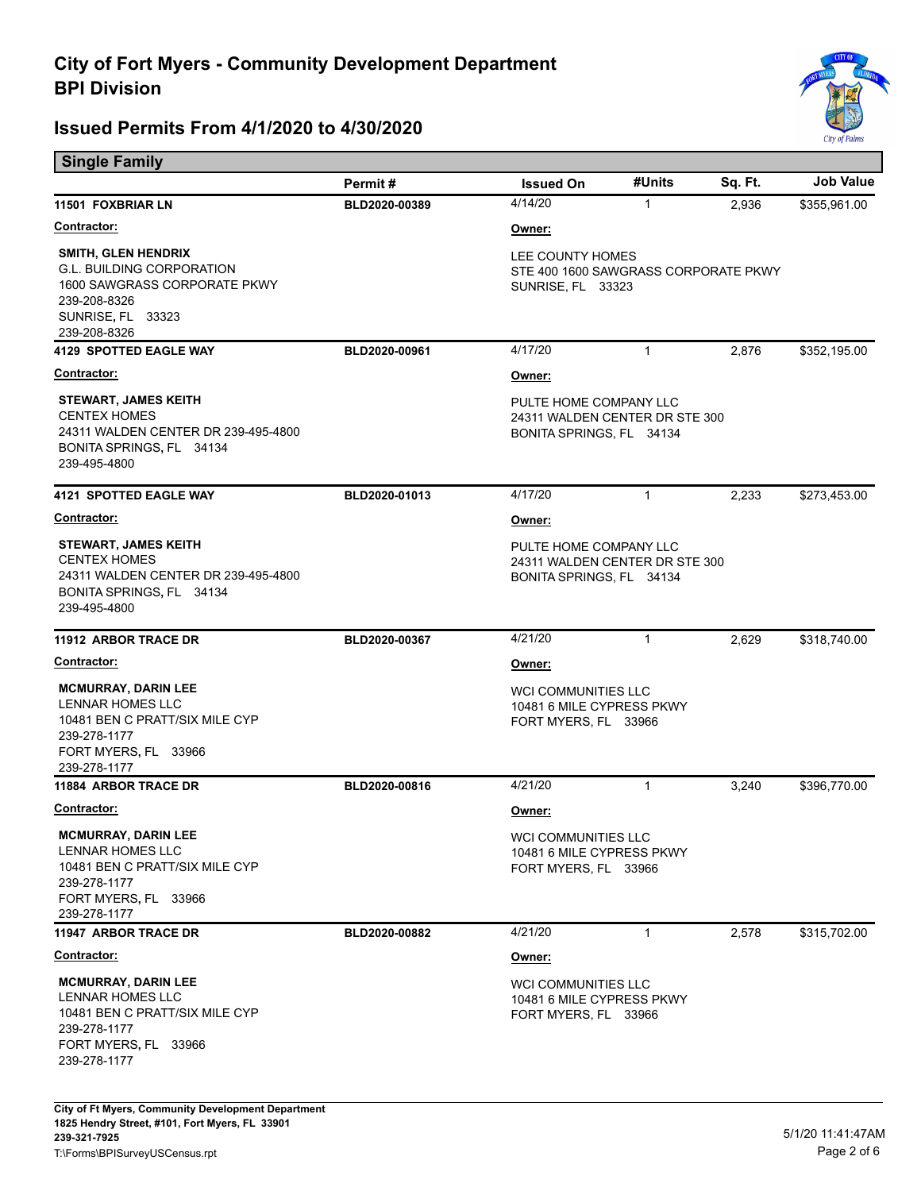

| <b>Single Family</b>                                                                                                                                |               |                                                                                      |              |         |                  |  |
|-----------------------------------------------------------------------------------------------------------------------------------------------------|---------------|--------------------------------------------------------------------------------------|--------------|---------|------------------|--|
|                                                                                                                                                     | Permit#       | <b>Issued On</b>                                                                     | #Units       | Sq. Ft. | <b>Job Value</b> |  |
| 11501 FOXBRIAR LN                                                                                                                                   | BLD2020-00389 | 4/14/20                                                                              | 1            | 2,936   | \$355,961.00     |  |
| <u>Contractor:</u>                                                                                                                                  |               | <u>Owner:</u>                                                                        |              |         |                  |  |
| <b>SMITH, GLEN HENDRIX</b><br><b>G.L. BUILDING CORPORATION</b><br>1600 SAWGRASS CORPORATE PKWY<br>239-208-8326<br>SUNRISE, FL 33323<br>239-208-8326 |               | LEE COUNTY HOMES<br>STE 400 1600 SAWGRASS CORPORATE PKWY<br>SUNRISE, FL 33323        |              |         |                  |  |
| 4129 SPOTTED EAGLE WAY                                                                                                                              | BLD2020-00961 | 4/17/20                                                                              | $\mathbf{1}$ | 2,876   | \$352,195.00     |  |
| <u>Contractor:</u>                                                                                                                                  |               | <u>Owner:</u>                                                                        |              |         |                  |  |
| <b>STEWART, JAMES KEITH</b><br><b>CENTEX HOMES</b><br>24311 WALDEN CENTER DR 239-495-4800<br>BONITA SPRINGS, FL 34134<br>239-495-4800               |               | PULTE HOME COMPANY LLC<br>24311 WALDEN CENTER DR STE 300<br>BONITA SPRINGS, FL 34134 |              |         |                  |  |
| <b>4121 SPOTTED EAGLE WAY</b>                                                                                                                       | BLD2020-01013 | 4/17/20                                                                              | $\mathbf{1}$ | 2,233   | \$273,453.00     |  |
| Contractor:                                                                                                                                         |               | <u>Owner:</u>                                                                        |              |         |                  |  |
| <b>STEWART, JAMES KEITH</b><br><b>CENTEX HOMES</b><br>24311 WALDEN CENTER DR 239-495-4800<br>BONITA SPRINGS, FL 34134<br>239-495-4800               |               | PULTE HOME COMPANY LLC<br>24311 WALDEN CENTER DR STE 300<br>BONITA SPRINGS, FL 34134 |              |         |                  |  |
| <b>11912 ARBOR TRACE DR</b>                                                                                                                         | BLD2020-00367 | 4/21/20                                                                              | $\mathbf{1}$ | 2,629   | \$318,740.00     |  |
| <b>Contractor:</b>                                                                                                                                  |               | <u>Owner:</u>                                                                        |              |         |                  |  |
| <b>MCMURRAY, DARIN LEE</b><br><b>LENNAR HOMES LLC</b><br>10481 BEN C PRATT/SIX MILE CYP<br>239-278-1177<br>FORT MYERS, FL 33966<br>239-278-1177     |               | <b>WCI COMMUNITIES LLC</b><br>10481 6 MILE CYPRESS PKWY<br>FORT MYERS, FL 33966      |              |         |                  |  |
| <b>11884 ARBOR TRACE DR</b>                                                                                                                         | BLD2020-00816 | 4/21/20                                                                              | $\mathbf{1}$ | 3,240   | \$396,770.00     |  |
| Contractor:                                                                                                                                         |               | <u>Owner:</u>                                                                        |              |         |                  |  |
| <b>MCMURRAY, DARIN LEE</b><br>LENNAR HOMES LLC<br>10481 BEN C PRATT/SIX MILE CYP<br>239-278-1177<br>FORT MYERS, FL 33966<br>239-278-1177            |               | <b>WCI COMMUNITIES LLC</b><br>10481 6 MILE CYPRESS PKWY<br>FORT MYERS, FL 33966      |              |         |                  |  |
| <b>11947 ARBOR TRACE DR</b>                                                                                                                         | BLD2020-00882 | 4/21/20                                                                              | 1            | 2,578   | \$315,702.00     |  |
| <b>Contractor:</b>                                                                                                                                  |               | Owner:                                                                               |              |         |                  |  |
| <b>MCMURRAY, DARIN LEE</b><br>LENNAR HOMES LLC<br>10481 BEN C PRATT/SIX MILE CYP<br>239-278-1177<br>FORT MYERS, FL 33966<br>239-278-1177            |               | <b>WCI COMMUNITIES LLC</b><br>10481 6 MILE CYPRESS PKWY<br>FORT MYERS, FL 33966      |              |         |                  |  |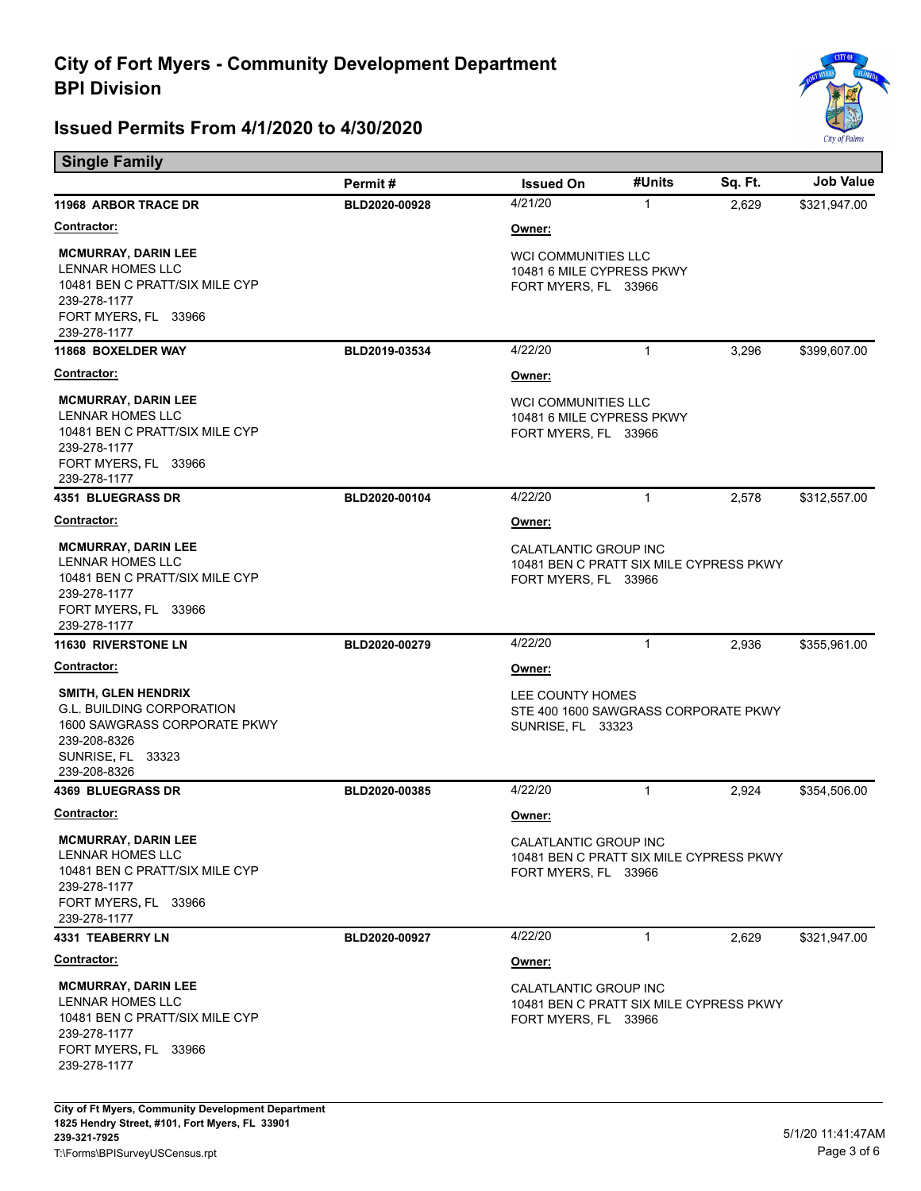

| <b>Single Family</b>                                                                                                                                |               |                                                                                          |              |         |                  |
|-----------------------------------------------------------------------------------------------------------------------------------------------------|---------------|------------------------------------------------------------------------------------------|--------------|---------|------------------|
|                                                                                                                                                     | Permit#       | <b>Issued On</b>                                                                         | #Units       | Sq. Ft. | <b>Job Value</b> |
| <b>11968 ARBOR TRACE DR</b>                                                                                                                         | BLD2020-00928 | 4/21/20                                                                                  | $\mathbf{1}$ | 2,629   | \$321,947.00     |
| <b>Contractor:</b>                                                                                                                                  |               | Owner:                                                                                   |              |         |                  |
| <b>MCMURRAY, DARIN LEE</b><br><b>LENNAR HOMES LLC</b><br>10481 BEN C PRATT/SIX MILE CYP<br>239-278-1177<br>FORT MYERS, FL 33966<br>239-278-1177     |               | <b>WCI COMMUNITIES LLC</b><br>10481 6 MILE CYPRESS PKWY<br>FORT MYERS, FL 33966          |              |         |                  |
| 11868 BOXELDER WAY                                                                                                                                  | BLD2019-03534 | 4/22/20                                                                                  | 1            | 3,296   | \$399,607.00     |
| Contractor:                                                                                                                                         |               | Owner:                                                                                   |              |         |                  |
| <b>MCMURRAY, DARIN LEE</b><br><b>LENNAR HOMES LLC</b><br>10481 BEN C PRATT/SIX MILE CYP<br>239-278-1177<br>FORT MYERS, FL 33966<br>239-278-1177     |               | <b>WCI COMMUNITIES LLC</b><br>10481 6 MILE CYPRESS PKWY<br>FORT MYERS, FL 33966          |              |         |                  |
| <b>4351 BLUEGRASS DR</b>                                                                                                                            | BLD2020-00104 | 4/22/20                                                                                  | $\mathbf{1}$ | 2,578   | \$312,557.00     |
| <b>Contractor:</b>                                                                                                                                  |               | Owner:                                                                                   |              |         |                  |
| <b>MCMURRAY, DARIN LEE</b><br>LENNAR HOMES LLC<br>10481 BEN C PRATT/SIX MILE CYP<br>239-278-1177<br>FORT MYERS, FL 33966<br>239-278-1177            |               | CALATLANTIC GROUP INC<br>10481 BEN C PRATT SIX MILE CYPRESS PKWY<br>FORT MYERS, FL 33966 |              |         |                  |
| <b>11630 RIVERSTONE LN</b>                                                                                                                          | BLD2020-00279 | 4/22/20                                                                                  | 1            | 2,936   | \$355,961.00     |
| <u>Contractor:</u>                                                                                                                                  |               | Owner:                                                                                   |              |         |                  |
| <b>SMITH, GLEN HENDRIX</b><br><b>G.L. BUILDING CORPORATION</b><br>1600 SAWGRASS CORPORATE PKWY<br>239-208-8326<br>SUNRISE, FL 33323<br>239-208-8326 |               | LEE COUNTY HOMES<br>STE 400 1600 SAWGRASS CORPORATE PKWY<br>SUNRISE, FL 33323            |              |         |                  |
| <b>4369 BLUEGRASS DR</b>                                                                                                                            | BLD2020-00385 | 4/22/20                                                                                  | $\mathbf{1}$ | 2,924   | \$354,506.00     |
| <b>Contractor:</b>                                                                                                                                  |               | Owner:                                                                                   |              |         |                  |
| <b>MCMURRAY, DARIN LEE</b><br>LENNAR HOMES LLC<br>10481 BEN C PRATT/SIX MILE CYP<br>239-278-1177<br>FORT MYERS, FL 33966<br>239-278-1177            |               | CALATLANTIC GROUP INC<br>10481 BEN C PRATT SIX MILE CYPRESS PKWY<br>FORT MYERS, FL 33966 |              |         |                  |
| 4331 TEABERRY LN                                                                                                                                    | BLD2020-00927 | 4/22/20                                                                                  | $\mathbf{1}$ | 2,629   | \$321,947.00     |
| <u>Contractor:</u>                                                                                                                                  |               | Owner:                                                                                   |              |         |                  |
| <b>MCMURRAY, DARIN LEE</b><br><b>LENNAR HOMES LLC</b><br>10481 BEN C PRATT/SIX MILE CYP<br>239-278-1177<br>FORT MYERS, FL 33966<br>239-278-1177     |               | CALATLANTIC GROUP INC<br>10481 BEN C PRATT SIX MILE CYPRESS PKWY<br>FORT MYERS, FL 33966 |              |         |                  |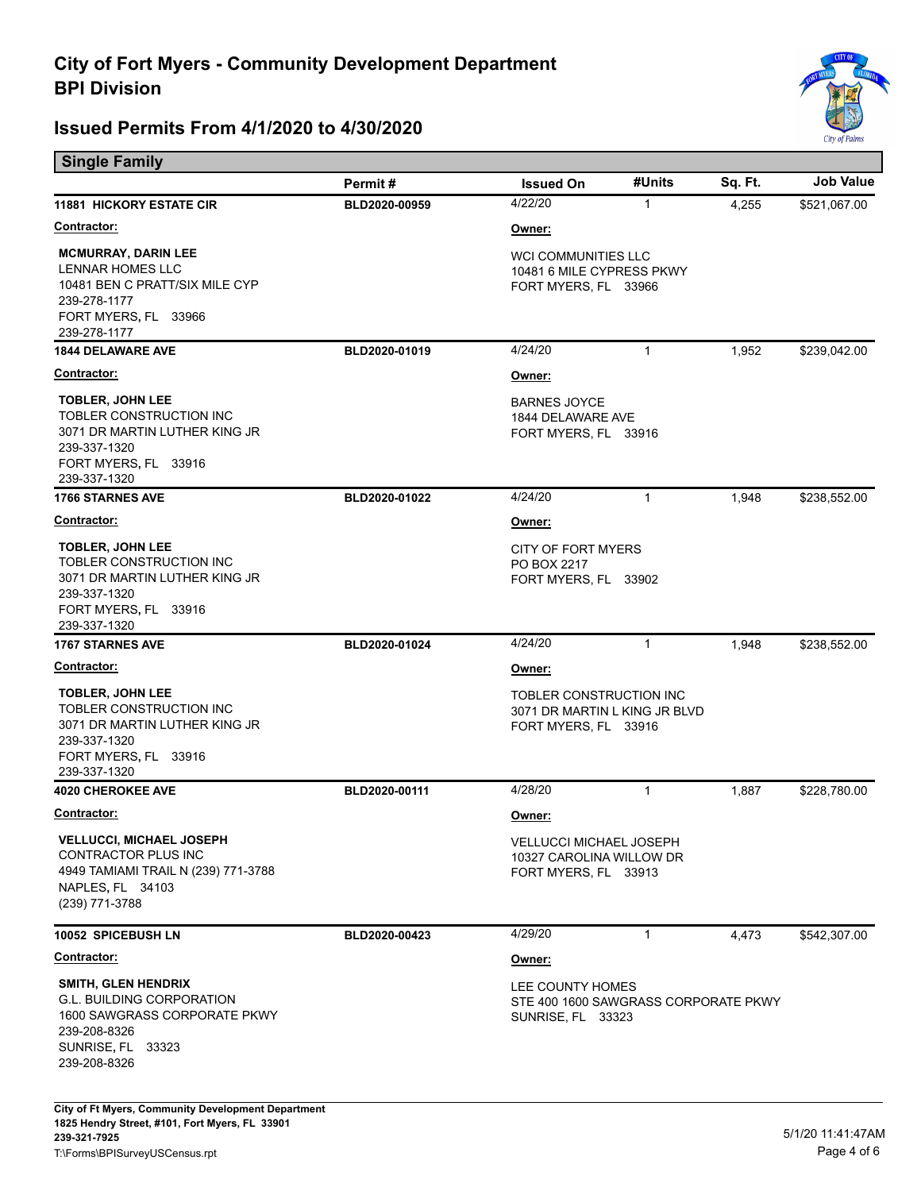

| <b>Single Family</b>                                                                                                                         |               |                                                                                      |                               |         |              |  |
|----------------------------------------------------------------------------------------------------------------------------------------------|---------------|--------------------------------------------------------------------------------------|-------------------------------|---------|--------------|--|
|                                                                                                                                              | Permit#       | <b>Issued On</b>                                                                     | #Units                        | Sq. Ft. | Job Value    |  |
| <b>11881 HICKORY ESTATE CIR</b>                                                                                                              | BLD2020-00959 | 4/22/20                                                                              | $\mathbf{1}$                  | 4,255   | \$521,067.00 |  |
| <b>Contractor:</b>                                                                                                                           |               | Owner:                                                                               |                               |         |              |  |
| <b>MCMURRAY, DARIN LEE</b><br>LENNAR HOMES LLC<br>10481 BEN C PRATT/SIX MILE CYP<br>239-278-1177<br>FORT MYERS, FL 33966<br>239-278-1177     |               | <b>WCI COMMUNITIES LLC</b><br>10481 6 MILE CYPRESS PKWY<br>FORT MYERS, FL 33966      |                               |         |              |  |
| <b>1844 DELAWARE AVE</b>                                                                                                                     | BLD2020-01019 | 4/24/20                                                                              | $\mathbf{1}$                  | 1,952   | \$239,042.00 |  |
| Contractor:                                                                                                                                  |               | Owner:                                                                               |                               |         |              |  |
| <b>TOBLER, JOHN LEE</b><br>TOBLER CONSTRUCTION INC<br>3071 DR MARTIN LUTHER KING JR<br>239-337-1320<br>FORT MYERS, FL 33916<br>239-337-1320  |               | <b>BARNES JOYCE</b><br>1844 DELAWARE AVE<br>FORT MYERS, FL 33916                     |                               |         |              |  |
| <b>1766 STARNES AVE</b>                                                                                                                      | BLD2020-01022 | 4/24/20                                                                              | $\mathbf{1}$                  | 1,948   | \$238,552.00 |  |
| <b>Contractor:</b>                                                                                                                           |               | Owner:                                                                               |                               |         |              |  |
| <b>TOBLER, JOHN LEE</b><br>TOBLER CONSTRUCTION INC<br>3071 DR MARTIN LUTHER KING JR<br>239-337-1320<br>FORT MYERS, FL 33916                  |               | <b>CITY OF FORT MYERS</b><br>PO BOX 2217<br>FORT MYERS, FL 33902                     |                               |         |              |  |
| 239-337-1320<br><b>1767 STARNES AVE</b>                                                                                                      | BLD2020-01024 | 4/24/20                                                                              | $\mathbf{1}$                  | 1,948   | \$238,552.00 |  |
| <b>Contractor:</b>                                                                                                                           |               | Owner:                                                                               |                               |         |              |  |
| <b>TOBLER, JOHN LEE</b><br>TOBLER CONSTRUCTION INC<br>3071 DR MARTIN LUTHER KING JR<br>239-337-1320<br>FORT MYERS, FL 33916<br>239-337-1320  |               | TOBLER CONSTRUCTION INC<br>FORT MYERS, FL 33916                                      | 3071 DR MARTIN L KING JR BLVD |         |              |  |
| <b>4020 CHEROKEE AVE</b>                                                                                                                     | BLD2020-00111 | 4/28/20                                                                              | $\mathbf{1}$                  | 1,887   | \$228,780.00 |  |
| Contractor:                                                                                                                                  |               | Owner:                                                                               |                               |         |              |  |
| <b>VELLUCCI, MICHAEL JOSEPH</b><br>CONTRACTOR PLUS INC<br>4949 TAMIAMI TRAIL N (239) 771-3788<br>NAPLES, FL 34103<br>(239) 771-3788          |               | <b>VELLUCCI MICHAEL JOSEPH</b><br>10327 CAROLINA WILLOW DR<br>FORT MYERS, FL 33913   |                               |         |              |  |
| 10052 SPICEBUSH LN                                                                                                                           | BLD2020-00423 | 4/29/20                                                                              | 1                             | 4,473   | \$542,307.00 |  |
| <b>Contractor:</b>                                                                                                                           |               | Owner:                                                                               |                               |         |              |  |
| <b>SMITH, GLEN HENDRIX</b><br>G.L. BUILDING CORPORATION<br>1600 SAWGRASS CORPORATE PKWY<br>239-208-8326<br>SUNRISE, FL 33323<br>239-208-8326 |               | LEE COUNTY HOMES<br>STE 400 1600 SAWGRASS CORPORATE PKWY<br><b>SUNRISE, FL 33323</b> |                               |         |              |  |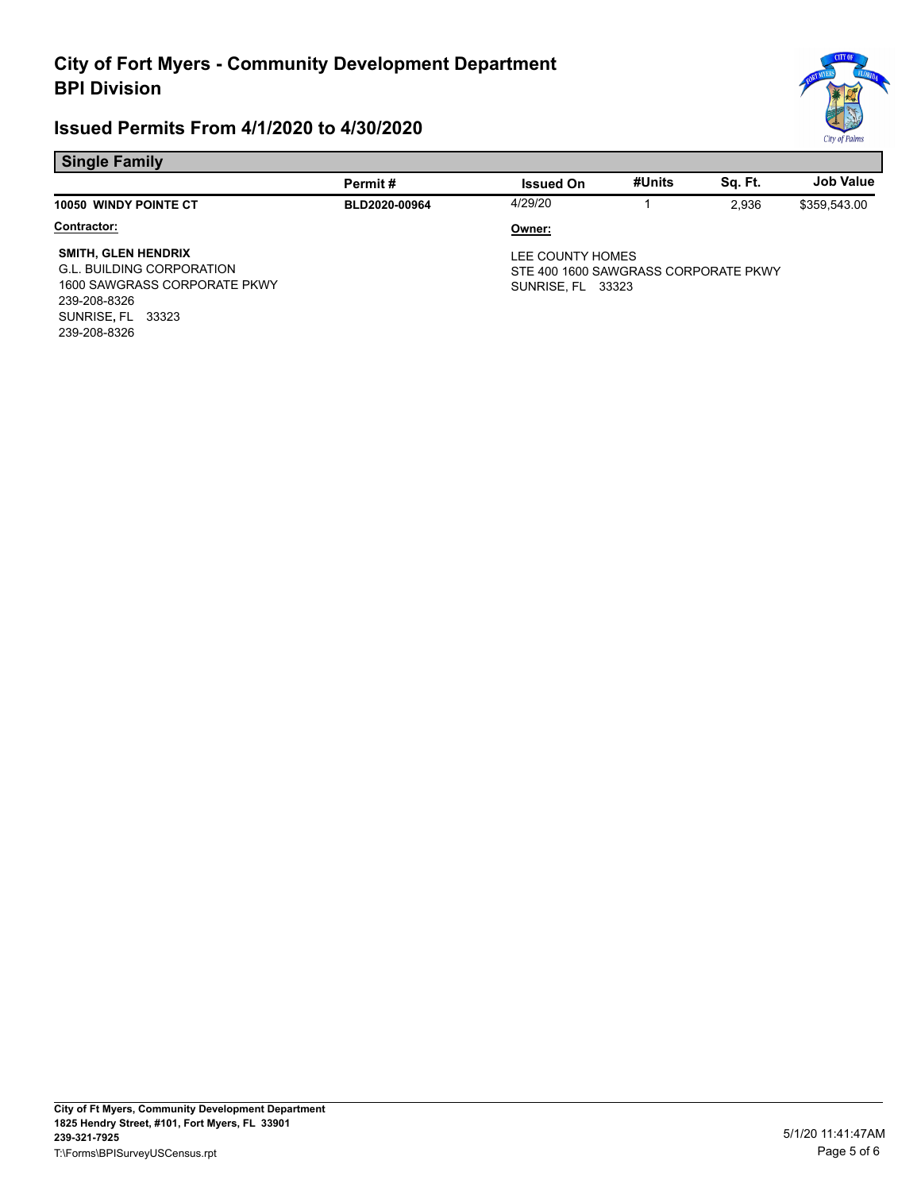

#### **Single Family**

|                                                                                                                                                     | Permit#       | <b>Issued On</b>                                                                     | #Units | Sa. Ft. | <b>Job Value</b> |
|-----------------------------------------------------------------------------------------------------------------------------------------------------|---------------|--------------------------------------------------------------------------------------|--------|---------|------------------|
| 10050 WINDY POINTE CT                                                                                                                               | BLD2020-00964 | 4/29/20                                                                              |        | 2.936   | \$359,543.00     |
| Contractor:                                                                                                                                         |               | Owner:                                                                               |        |         |                  |
| <b>SMITH, GLEN HENDRIX</b><br><b>G.L. BUILDING CORPORATION</b><br>1600 SAWGRASS CORPORATE PKWY<br>239-208-8326<br>SUNRISE, FL 33323<br>239-208-8326 |               | LEE COUNTY HOMES<br>STE 400 1600 SAWGRASS CORPORATE PKWY<br><b>SUNRISE, FL 33323</b> |        |         |                  |